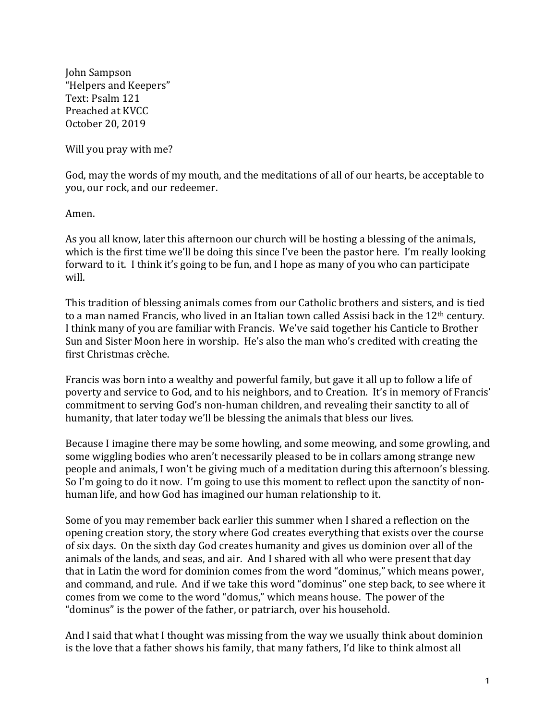John Sampson "Helpers and Keepers" Text: Psalm 121 Preached at KVCC October 20, 2019

Will you pray with me?

God, may the words of my mouth, and the meditations of all of our hearts, be acceptable to you, our rock, and our redeemer.

Amen.

As you all know, later this afternoon our church will be hosting a blessing of the animals, which is the first time we'll be doing this since I've been the pastor here. I'm really looking forward to it. I think it's going to be fun, and I hope as many of you who can participate will.

This tradition of blessing animals comes from our Catholic brothers and sisters, and is tied to a man named Francis, who lived in an Italian town called Assisi back in the  $12<sup>th</sup>$  century. I think many of you are familiar with Francis. We've said together his Canticle to Brother Sun and Sister Moon here in worship. He's also the man who's credited with creating the first Christmas crèche.

Francis was born into a wealthy and powerful family, but gave it all up to follow a life of poverty and service to God, and to his neighbors, and to Creation. It's in memory of Francis' commitment to serving God's non-human children, and revealing their sanctity to all of humanity, that later today we'll be blessing the animals that bless our lives.

Because I imagine there may be some howling, and some meowing, and some growling, and some wiggling bodies who aren't necessarily pleased to be in collars among strange new people and animals, I won't be giving much of a meditation during this afternoon's blessing. So I'm going to do it now. I'm going to use this moment to reflect upon the sanctity of nonhuman life, and how God has imagined our human relationship to it.

Some of you may remember back earlier this summer when I shared a reflection on the opening creation story, the story where God creates everything that exists over the course of six days. On the sixth day God creates humanity and gives us dominion over all of the animals of the lands, and seas, and air. And I shared with all who were present that day that in Latin the word for dominion comes from the word "dominus," which means power, and command, and rule. And if we take this word "dominus" one step back, to see where it comes from we come to the word "domus," which means house. The power of the "dominus" is the power of the father, or patriarch, over his household.

And I said that what I thought was missing from the way we usually think about dominion is the love that a father shows his family, that many fathers, I'd like to think almost all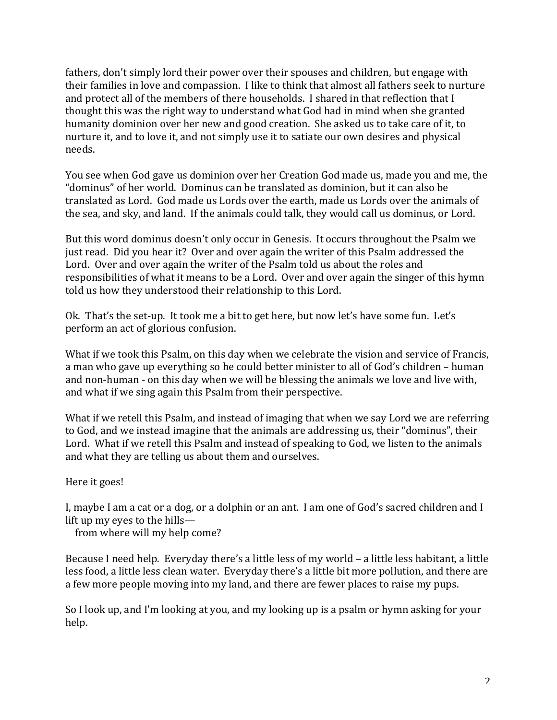fathers, don't simply lord their power over their spouses and children, but engage with their families in love and compassion. I like to think that almost all fathers seek to nurture and protect all of the members of there households. I shared in that reflection that I thought this was the right way to understand what God had in mind when she granted humanity dominion over her new and good creation. She asked us to take care of it, to nurture it, and to love it, and not simply use it to satiate our own desires and physical needs.

You see when God gave us dominion over her Creation God made us, made you and me, the "dominus" of her world. Dominus can be translated as dominion, but it can also be translated as Lord. God made us Lords over the earth, made us Lords over the animals of the sea, and sky, and land. If the animals could talk, they would call us dominus, or Lord.

But this word dominus doesn't only occur in Genesis. It occurs throughout the Psalm we just read. Did you hear it? Over and over again the writer of this Psalm addressed the Lord. Over and over again the writer of the Psalm told us about the roles and responsibilities of what it means to be a Lord. Over and over again the singer of this hymn told us how they understood their relationship to this Lord.

Ok. That's the set-up. It took me a bit to get here, but now let's have some fun. Let's perform an act of glorious confusion.

What if we took this Psalm, on this day when we celebrate the vision and service of Francis, a man who gave up everything so he could better minister to all of God's children – human and non-human - on this day when we will be blessing the animals we love and live with, and what if we sing again this Psalm from their perspective.

What if we retell this Psalm, and instead of imaging that when we say Lord we are referring to God, and we instead imagine that the animals are addressing us, their "dominus", their Lord. What if we retell this Psalm and instead of speaking to God, we listen to the animals and what they are telling us about them and ourselves.

Here it goes!

I, maybe I am a cat or a dog, or a dolphin or an ant. I am one of God's sacred children and I lift up my eyes to the hills—

from where will my help come?

Because I need help. Everyday there's a little less of my world  $-$  a little less habitant, a little less food, a little less clean water. Everyday there's a little bit more pollution, and there are a few more people moving into my land, and there are fewer places to raise my pups.

So I look up, and I'm looking at you, and my looking up is a psalm or hymn asking for your help.